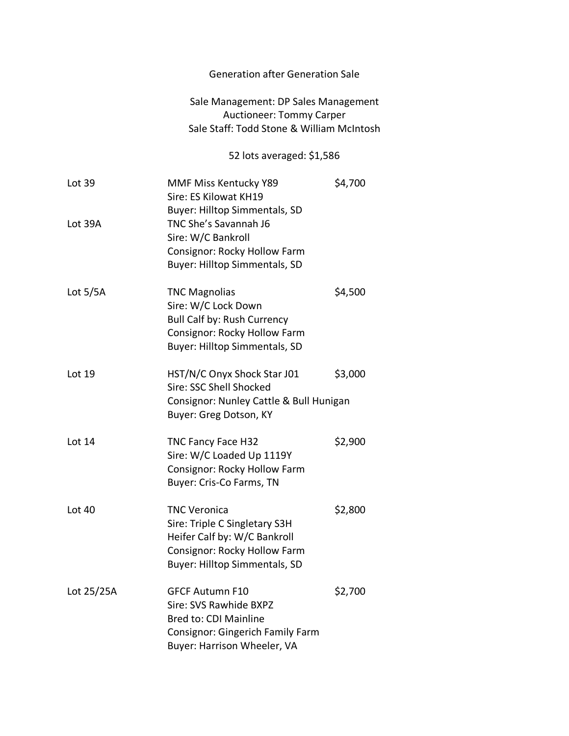## Generation after Generation Sale

## Sale Management: DP Sales Management Auctioneer: Tommy Carper Sale Staff: Todd Stone & William McIntosh

## 52 lots averaged: \$1,586

| Lot 39     | MMF Miss Kentucky Y89<br>Sire: ES Kilowat KH19<br>Buyer: Hilltop Simmentals, SD                                                                    | \$4,700 |
|------------|----------------------------------------------------------------------------------------------------------------------------------------------------|---------|
| Lot 39A    | TNC She's Savannah J6<br>Sire: W/C Bankroll<br>Consignor: Rocky Hollow Farm<br><b>Buyer: Hilltop Simmentals, SD</b>                                |         |
| Lot $5/5A$ | <b>TNC Magnolias</b><br>Sire: W/C Lock Down<br><b>Bull Calf by: Rush Currency</b><br>Consignor: Rocky Hollow Farm<br>Buyer: Hilltop Simmentals, SD | \$4,500 |
| Lot $19$   | HST/N/C Onyx Shock Star J01<br>Sire: SSC Shell Shocked<br>Consignor: Nunley Cattle & Bull Hunigan<br>Buyer: Greg Dotson, KY                        | \$3,000 |
| Lot 14     | <b>TNC Fancy Face H32</b><br>Sire: W/C Loaded Up 1119Y<br>Consignor: Rocky Hollow Farm<br>Buyer: Cris-Co Farms, TN                                 | \$2,900 |
| Lot 40     | TNC Veronica<br>Sire: Triple C Singletary S3H<br>Heifer Calf by: W/C Bankroll<br>Consignor: Rocky Hollow Farm<br>Buyer: Hilltop Simmentals, SD     | \$2,800 |
| Lot 25/25A | <b>GFCF Autumn F10</b><br>Sire: SVS Rawhide BXPZ<br>Bred to: CDI Mainline<br>Consignor: Gingerich Family Farm<br>Buyer: Harrison Wheeler, VA       | \$2,700 |